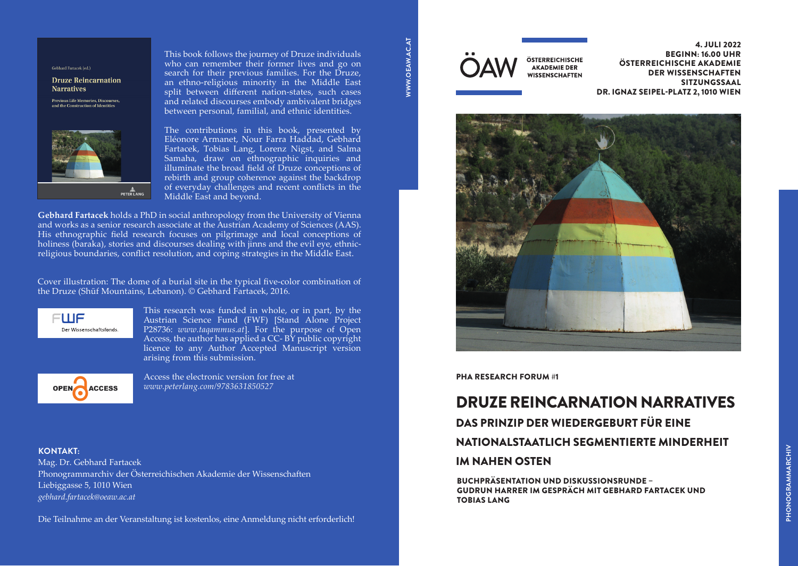#### Gebhard Fartacek (ed.)

Druze Reincarnation **Narratives** 

Previous Life Memories, Discourses, and the Construction of Identi



This book follows the journey of Druze individuals who can remember their former lives and go on **Gebhard Fartacek (ed.)** who can remember their former fives and go on<br>search for their previous families. For the Druze, an ethno-religious minority in the Middle East split between different nation-states, such cases and related discourses embody ambivalent bridges and related discourses embody ambrydiem bridge<br>between personal, familial, and ethnic identities.

The contributions in this book, presented by Eléonore Armanet, Nour Farra Haddad, Gebhard Fartacek, Tobias Lang, Lorenz Nigst, and Salma Samaha, draw on ethnographic inquiries and illuminate the broad field of Druze conceptions of rebirth and group coherence against the backdrop of everyday challenges and recent conflicts in the Middle East and beyond.

His ethnographic field research focuses on pilgrimage and local conceptions of<br>holiness (baraka), stories and discourses dealing with jinns and the evil eye, ethnic-**Gebhard Fartacek** holds a PhD in social anthropology from the University of Vienna and works as a senior research associate at the Austrian Academy of Sciences (AAS). His ethnographic field research focuses on pilgrimage and local conceptions of religious boundaries, conflict resolution, and coping strategies in the Middle East.

Cover illustration: The dome of a burial site in the typical five-color combination of **EVILE INTERNATION THE MIDDLE EAST SPIRIT SPLIT BETWEEN CONTRACT SPIRIT SPIRIT SPIRIT SPIRIT SPIRIT SPIRIT SPIRIT SPIRIT SPIRIT SPIRIT SPIRIT SPIRIT SPIRIT SPIRIT SPIRIT SPIRIT SPIRIT SPIRIT SPIRIT SPIRIT SPIRIT SPIRIT SPI** 

related discourses embody ambivalent ethnic identities. **The contributions in the contributions in the contribution of the Plance Barra Haddale Branch Branch Branch Br** 

Gebhard Fartacek, Tobias Lang, Lorenz Nigst,

arising from this submission. The same  $\mathbb{R}^n$ Access, the author has applied a CC- BY public copyright ISTANS IN THE MILITER OF PIRTUS COPING IN THE MILITER SUPPRISH. This research was funded in whole, or in part, by the Austrian Science Fund (FWF) [Stand Alone Project P28736: *[www.taqammus.at](https://www.taqammus.at/)*]. For the purpose of Open



Access the electronic version for free at /company/peterlangpublishers *[www.peterlang.com/9783631850527](http://www.peterlang.com/9783631850527  )* 

## **KONTAKT:** Peter Lang Group Ag, Place de la gare 12, 1003 Lausanne, Switzerland and Switzerland and Switzerland and Switzerland and Switzerland and Switzerland and Switzerland and Switzerland and Switzerland and Switzerlan

Mag. Dr. Gebhard Fartacek Phonogrammarchiv der Österreichischen Akademie der Wissenschaften Liebiggasse 5, 1010 Wien *[gebhard.fartacek@oeaw.ac.at](mailto:gebhard.fartacek%40oeaw.ac.at%20?subject=)* 

Die Teilnahme an der Veranstaltung ist kostenlos, eine Anmeldung nicht erforderlich!



4. JULI 2022 BEGINN: 16.00 UHR ÖSTERREICHISCHE AKADEMIE DER WISSENSCHAFTEN SITZUNGSSAAL DR. IGNAZ SEIPEL-PLATZ 2, 1010 WIEN



#### PHA RESEARCH FORUM #1

# DRUZE REINCARNATION NARRATIVES

# DAS PRINZIP DER WIEDERGEBURT FÜR EINE

## NATIONALSTAATLICH SEGMENTIERTE MINDERHEIT

## IM NAHEN OSTEN

BUCHPRÄSENTATION UND DISKUSSIONSRUNDE – GUDRUN HARRER IM GESPRÄCH MIT GEBHARD FARTACEK UND TOBIAS LANG